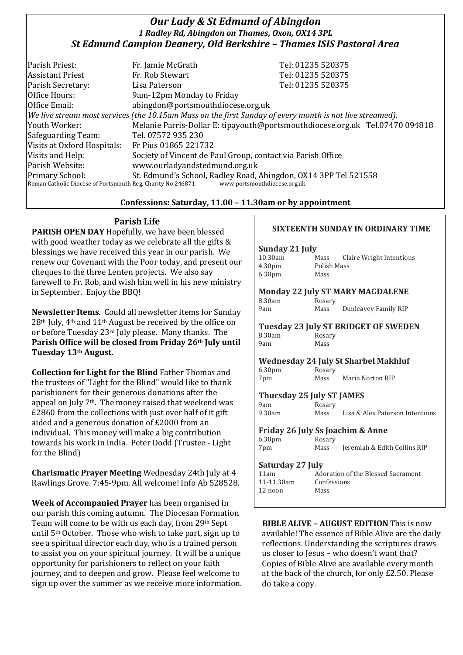# *Our Lady & St Edmund of Abingdon 1 Radley Rd, Abingdon on Thames, Oxon, OX14 3PL St Edmund Campion Deanery, Old Berkshire – Thames ISIS Pastoral Area*

| Parish Priest:                                                                                               | Fr. Jamie McGrath                                               | Tel: 01235 520375                                                            |  |
|--------------------------------------------------------------------------------------------------------------|-----------------------------------------------------------------|------------------------------------------------------------------------------|--|
|                                                                                                              |                                                                 |                                                                              |  |
| <b>Assistant Priest</b>                                                                                      | Fr. Rob Stewart                                                 | Tel: 01235 520375                                                            |  |
| Parish Secretary:                                                                                            | Lisa Paterson                                                   | Tel: 01235 520375                                                            |  |
| Office Hours:                                                                                                | 9am-12pm Monday to Friday                                       |                                                                              |  |
| Office Email:                                                                                                | abingdon@portsmouthdiocese.org.uk                               |                                                                              |  |
| $ $ We live stream most services (the 10.15am Mass on the first Sunday of every month is not live streamed). |                                                                 |                                                                              |  |
| Youth Worker:                                                                                                |                                                                 | Melanie Parris-Dollar E: tipayouth@portsmouthdiocese.org.uk Tel.07470 094818 |  |
| Safeguarding Team:                                                                                           | Tel. 07572 935 230                                              |                                                                              |  |
| Visits at Oxford Hospitals:                                                                                  | Fr Pius 01865 221732                                            |                                                                              |  |
| Visits and Help:                                                                                             | Society of Vincent de Paul Group, contact via Parish Office     |                                                                              |  |
| Parish Website:                                                                                              | www.ourladyandstedmund.org.uk                                   |                                                                              |  |
| <b>Primary School:</b>                                                                                       | St. Edmund's School, Radley Road, Abingdon, OX14 3PP Tel 521558 |                                                                              |  |
| Roman Catholic Diocese of Portsmouth Reg. Charity No 246871<br>www.portsmouthdiocese.org.uk                  |                                                                 |                                                                              |  |

## **Confessions: Saturday, 11.00 – 11.30am or by appointment**

# **Parish Life**

**PARISH OPEN DAY** Hopefully, we have been blessed with good weather today as we celebrate all the gifts & blessings we have received this year in our parish. We renew our Covenant with the Poor today, and present our cheques to the three Lenten projects. We also say farewell to Fr. Rob, and wish him well in his new ministry in September. Enjoy the BBQ!

**Newsletter Items**. Could all newsletter items for Sunday 28th July, 4th and 11th August be received by the office on or before Tuesday 23rd July please. Many thanks. The **Parish Office will be closed from Friday 26th July until Tuesday 13th August.** 

**Collection for Light for the Blind** Father Thomas and the trustees of "Light for the Blind" would like to thank parishioners for their generous donations after the appeal on July 7th. The money raised that weekend was £2860 from the collections with just over half of it gift aided and a generous donation of £2000 from an individual. This money will make a big contribution towards his work in India. Peter Dodd (Trustee - Light for the Blind)

**Charismatic Prayer Meeting** Wednesday 24th July at 4 Rawlings Grove. 7:45-9pm. All welcome! Info Ab 528528.

**Week of Accompanied Prayer** has been organised in our parish this coming autumn. The Diocesan Formation Team will come to be with us each day, from 29th Sept until 5th October. Those who wish to take part, sign up to see a spiritual director each day, who is a trained person to assist you on your spiritual journey. It will be a unique opportunity for parishioners to reflect on your faith journey, and to deepen and grow. Please feel welcome to sign up over the summer as we receive more information.

## **SIXTEENTH SUNDAY IN ORDINARY TIME**

## **Sunday 21 July**

| Claire Wright Intentions<br>Mass |
|----------------------------------|
| Polish Mass                      |
| Mass                             |
|                                  |

#### **Monday 22 July ST MARY MAGDALENE**

| 8.30am | Rosary |                      |
|--------|--------|----------------------|
| 9am    | Mass   | Dunleavey Family RIP |

**Tuesday 23 July ST BRIDGET OF SWEDEN** 8.30am Rosary 9am Mass

#### **Wednesday 24 July St Sharbel Makhluf**

6.30pm Rosary 7pm Mass Maria Norton RIP

#### **Thursday 25 July ST JAMES**

| 9am    | Rosary |                                 |
|--------|--------|---------------------------------|
| 9.30am | Mass   | Lisa & Alex Paterson Intentions |

#### **Friday 26 July Ss Joachim & Anne**

|                    | . |        |                              |
|--------------------|---|--------|------------------------------|
| 6.30 <sub>pm</sub> |   | Rosary |                              |
| 7pm                |   | Mass   | Jeremiah & Edith Collins RIP |

#### **Saturday 27 July**

| 11am       | Adoration of the Blessed Sacrament |
|------------|------------------------------------|
| 11-11.30am | Confessions                        |
| $12$ noon  | Mass                               |
|            |                                    |

**BIBLE ALIVE – AUGUST EDITION** This is now available! The essence of Bible Alive are the daily reflections. Understanding the scriptures draws us closer to Jesus – who doesn't want that? Copies of Bible Alive are available every month at the back of the church, for only £2.50. Please do take a copy.